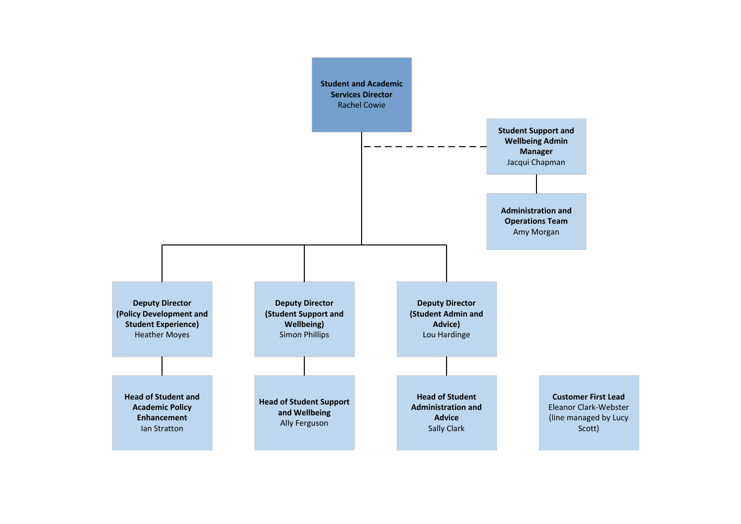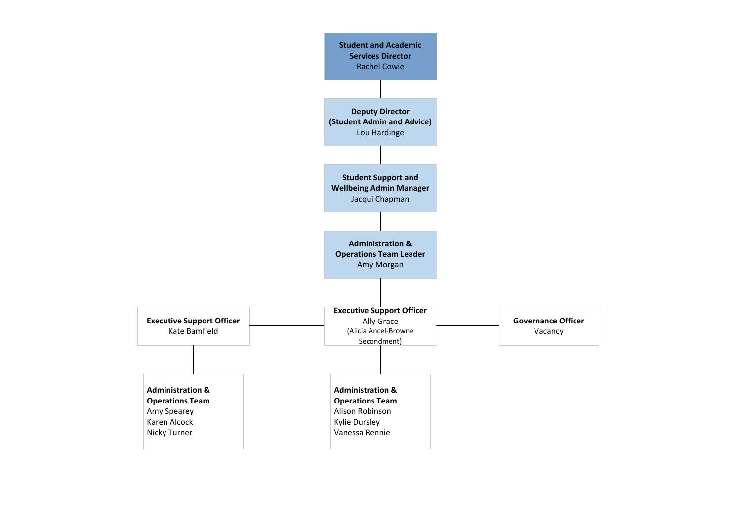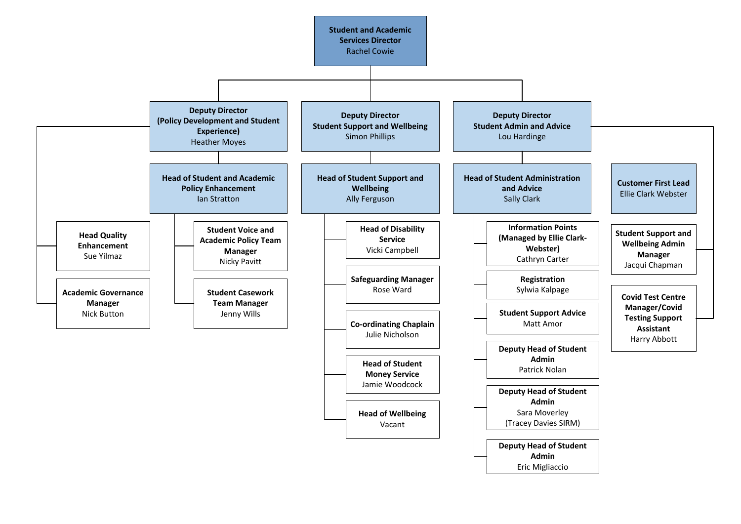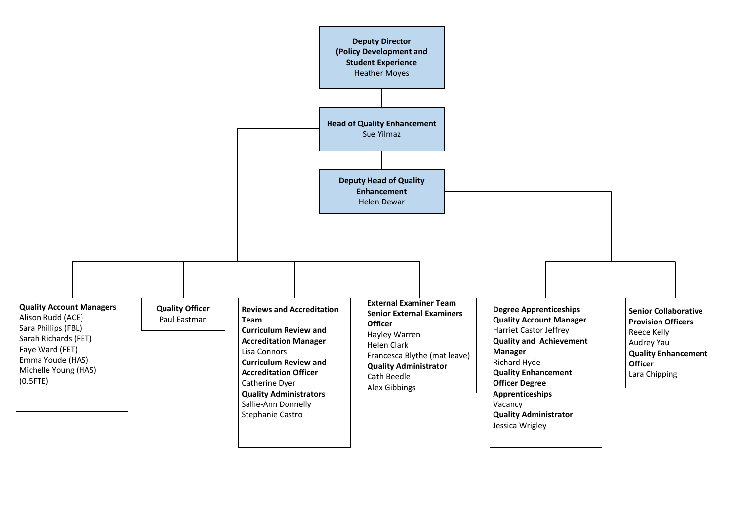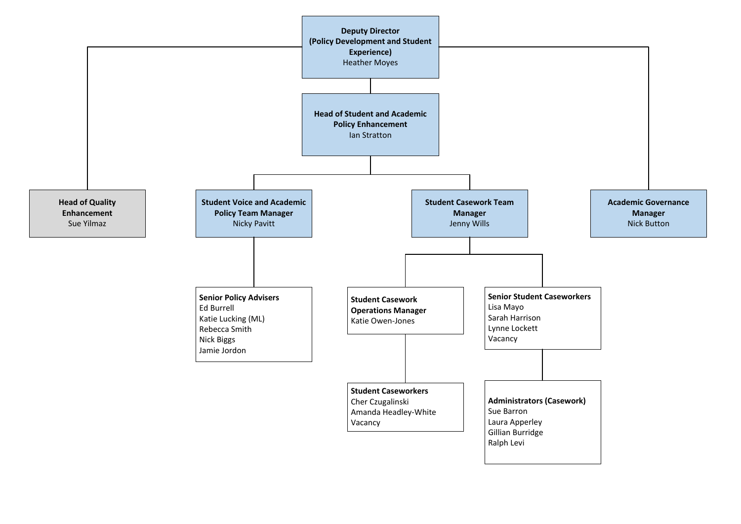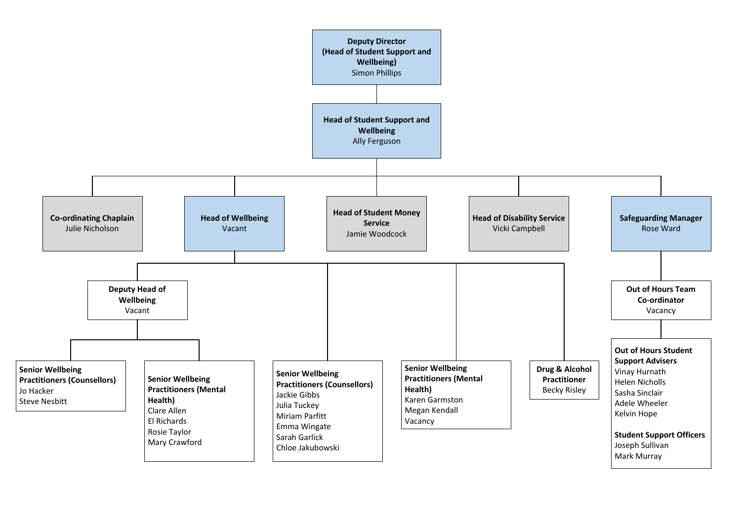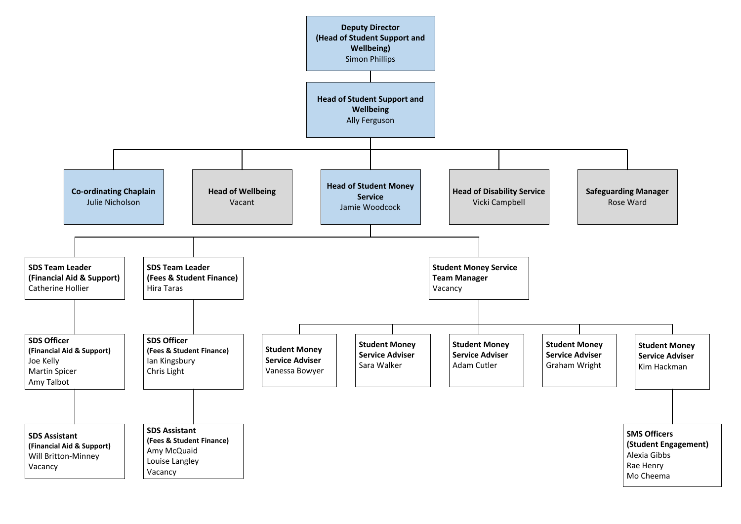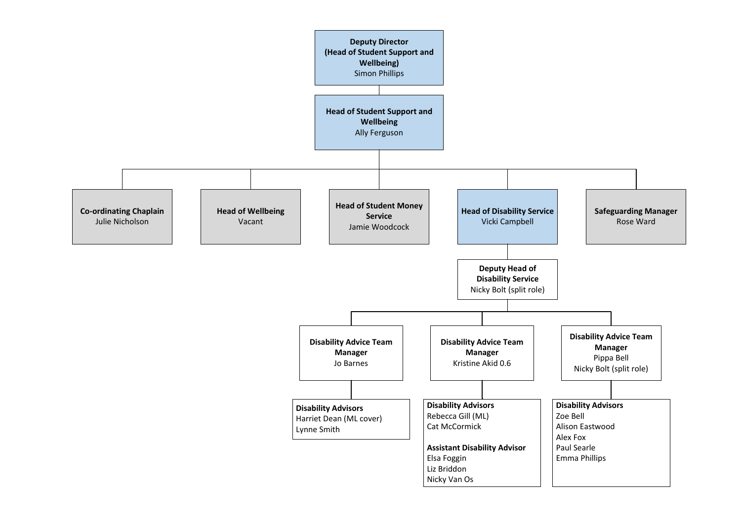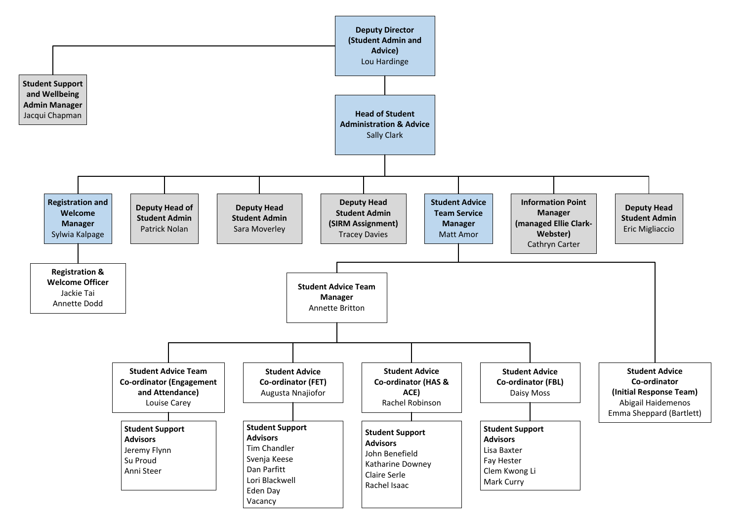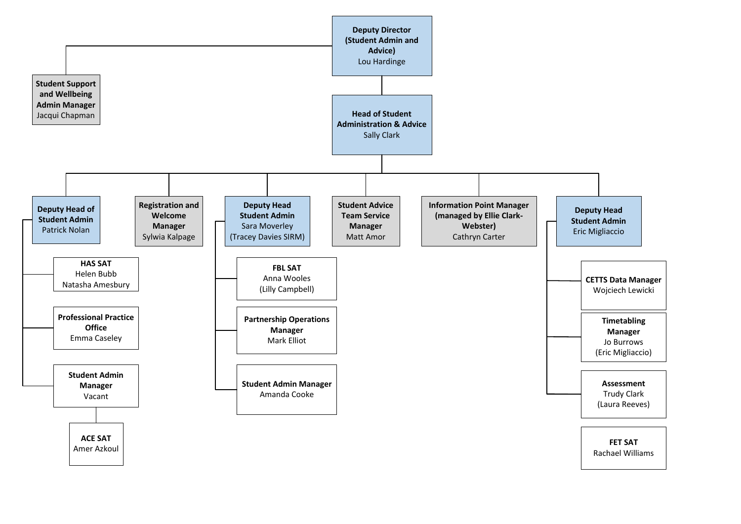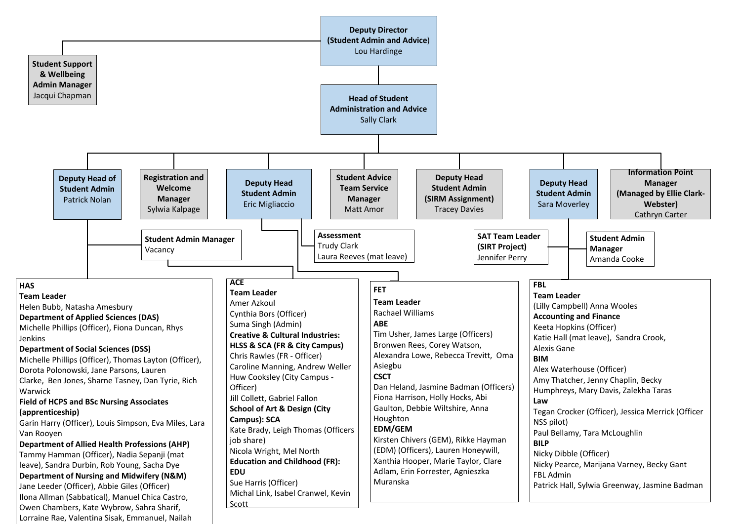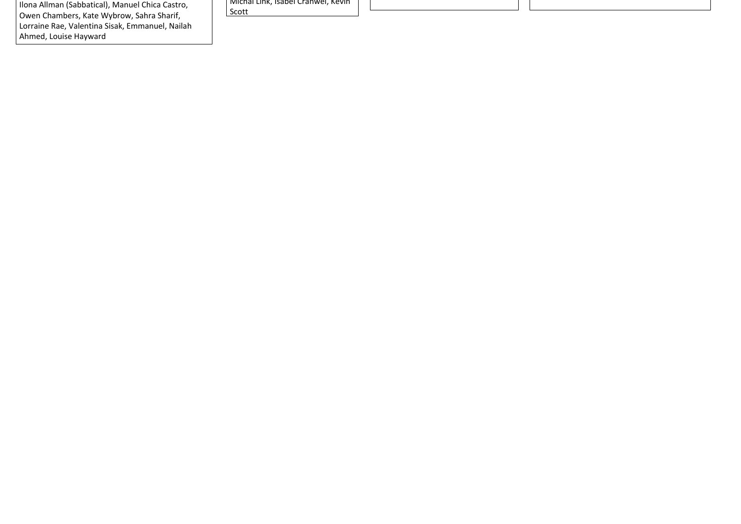Ilona Allman (Sabbatical), Manuel Chica Castro, Owen Chambers, Kate Wybrow, Sahra Sharif, Lorraine Rae, Valentina Sisak, Emmanuel, Nailah Ahmed, Louise Hayward

Michal Link, Isabel Cranwel, Kevin Scott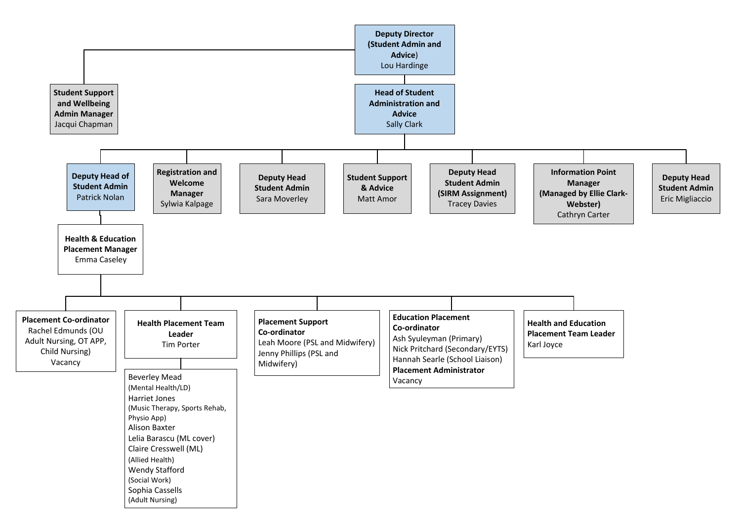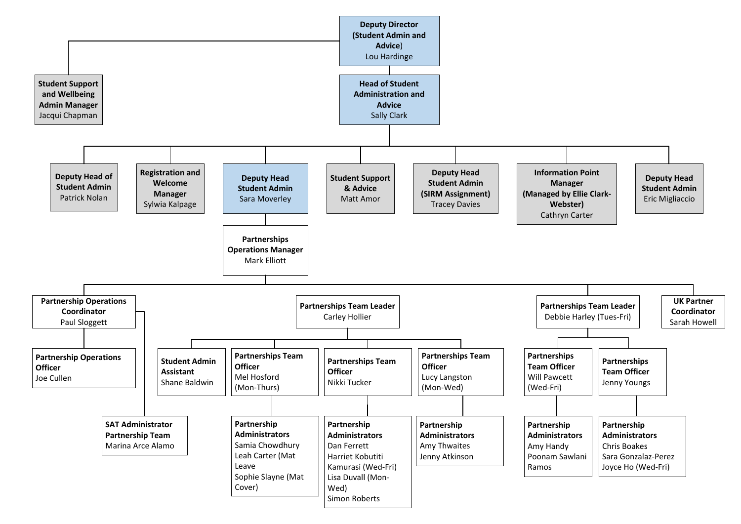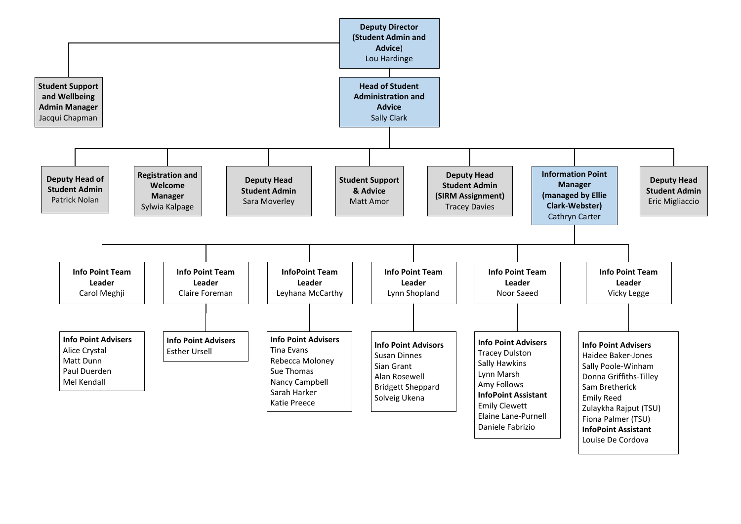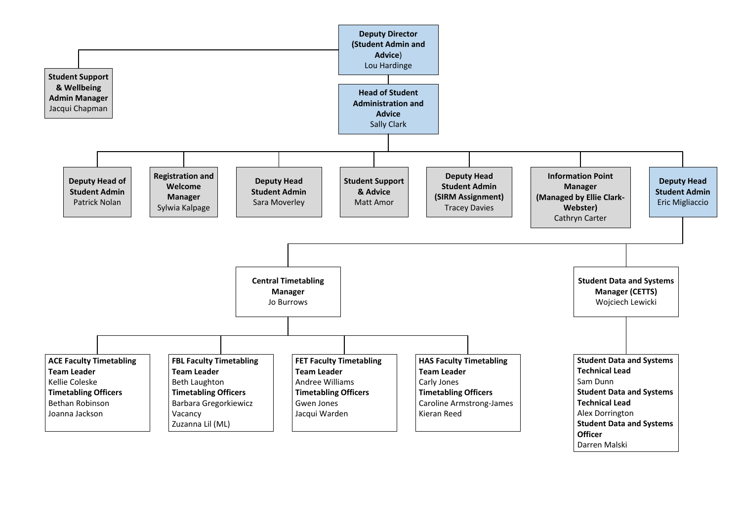

Darren Malski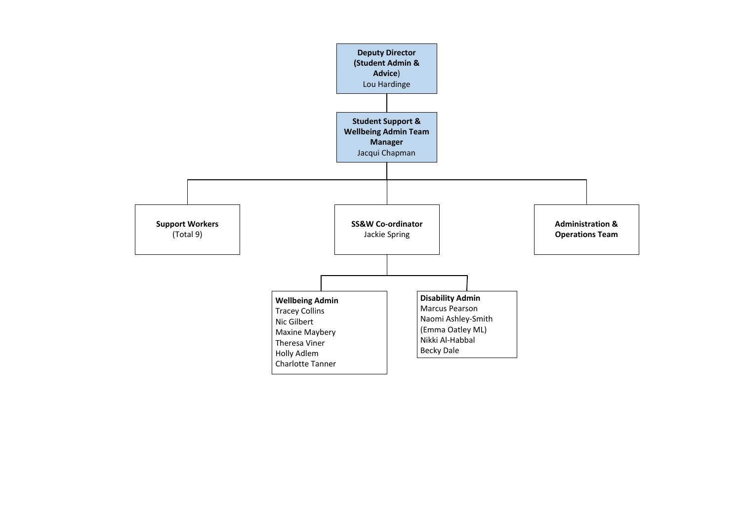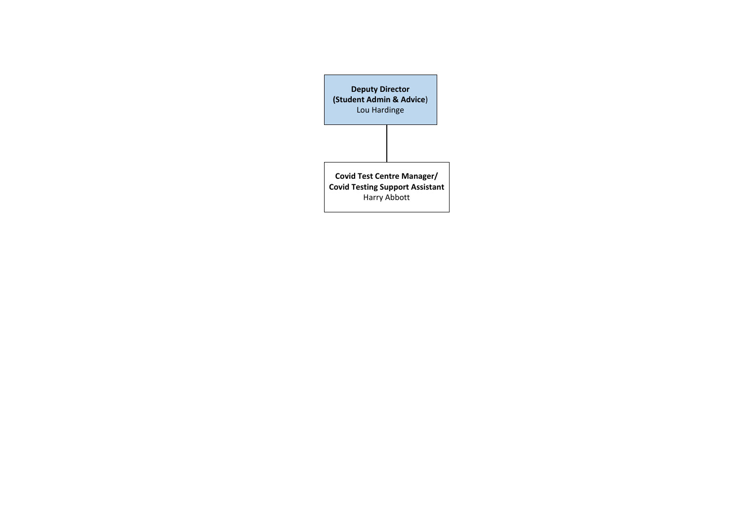**Deputy Director (Student Admin & Advice**) Lou Hardinge

**Covid Test Centre Manager/ Covid Testing Support Assistant** Harry Abbott